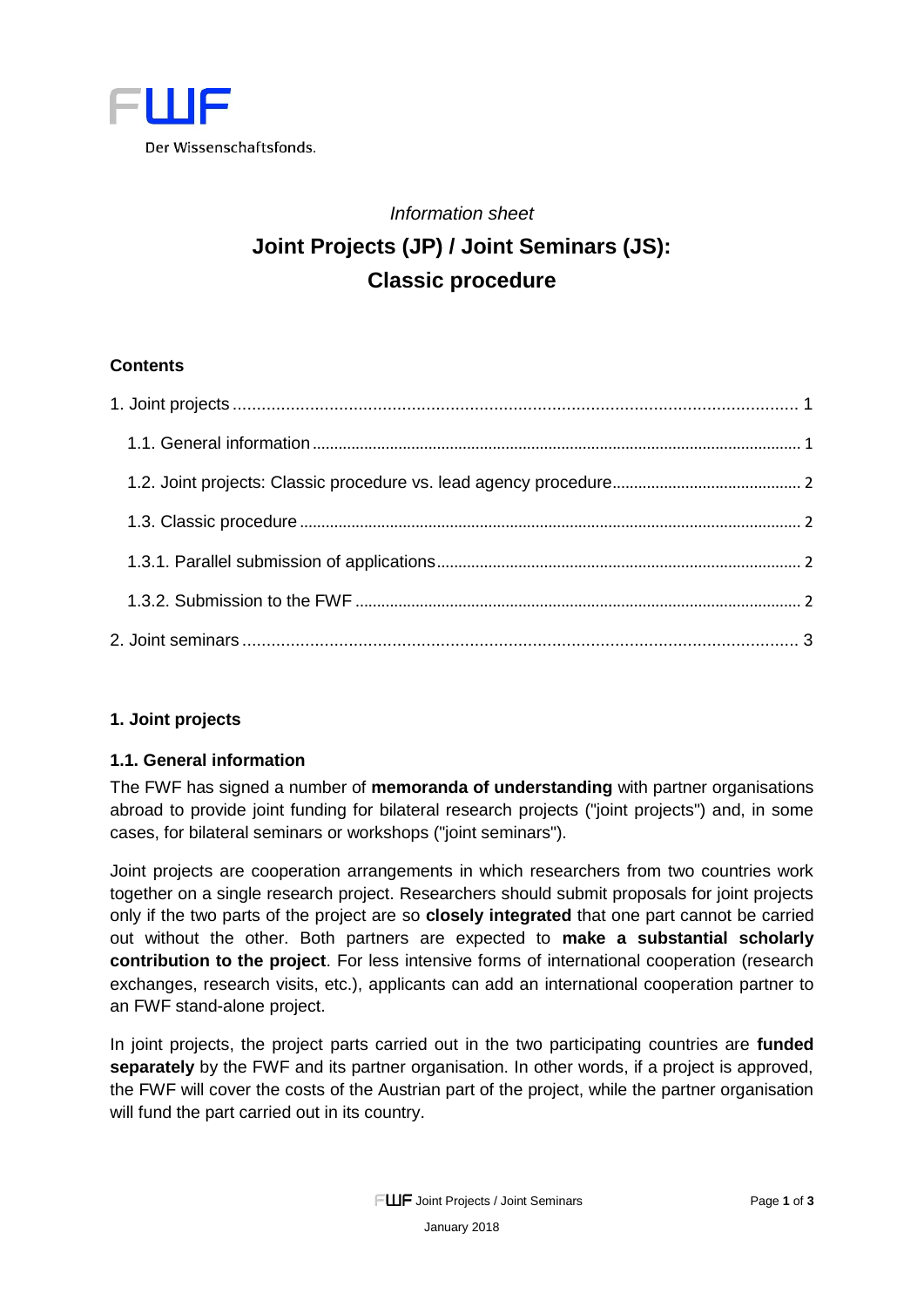

# *Information sheet* **Joint Projects (JP) / Joint Seminars (JS): Classic procedure**

# **Contents**

## <span id="page-0-0"></span>**1. Joint projects**

## <span id="page-0-1"></span>**1.1. General information**

The FWF has signed a number of **memoranda of understanding** with partner organisations abroad to provide joint funding for bilateral research projects ("joint projects") and, in some cases, for bilateral seminars or workshops ("joint seminars").

Joint projects are cooperation arrangements in which researchers from two countries work together on a single research project. Researchers should submit proposals for joint projects only if the two parts of the project are so **closely integrated** that one part cannot be carried out without the other. Both partners are expected to **make a substantial scholarly contribution to the project**. For less intensive forms of international cooperation (research exchanges, research visits, etc.), applicants can add an international cooperation partner to an FWF stand-alone project.

In joint projects, the project parts carried out in the two participating countries are **funded separately** by the FWF and its partner organisation. In other words, if a project is approved, the FWF will cover the costs of the Austrian part of the project, while the partner organisation will fund the part carried out in its country.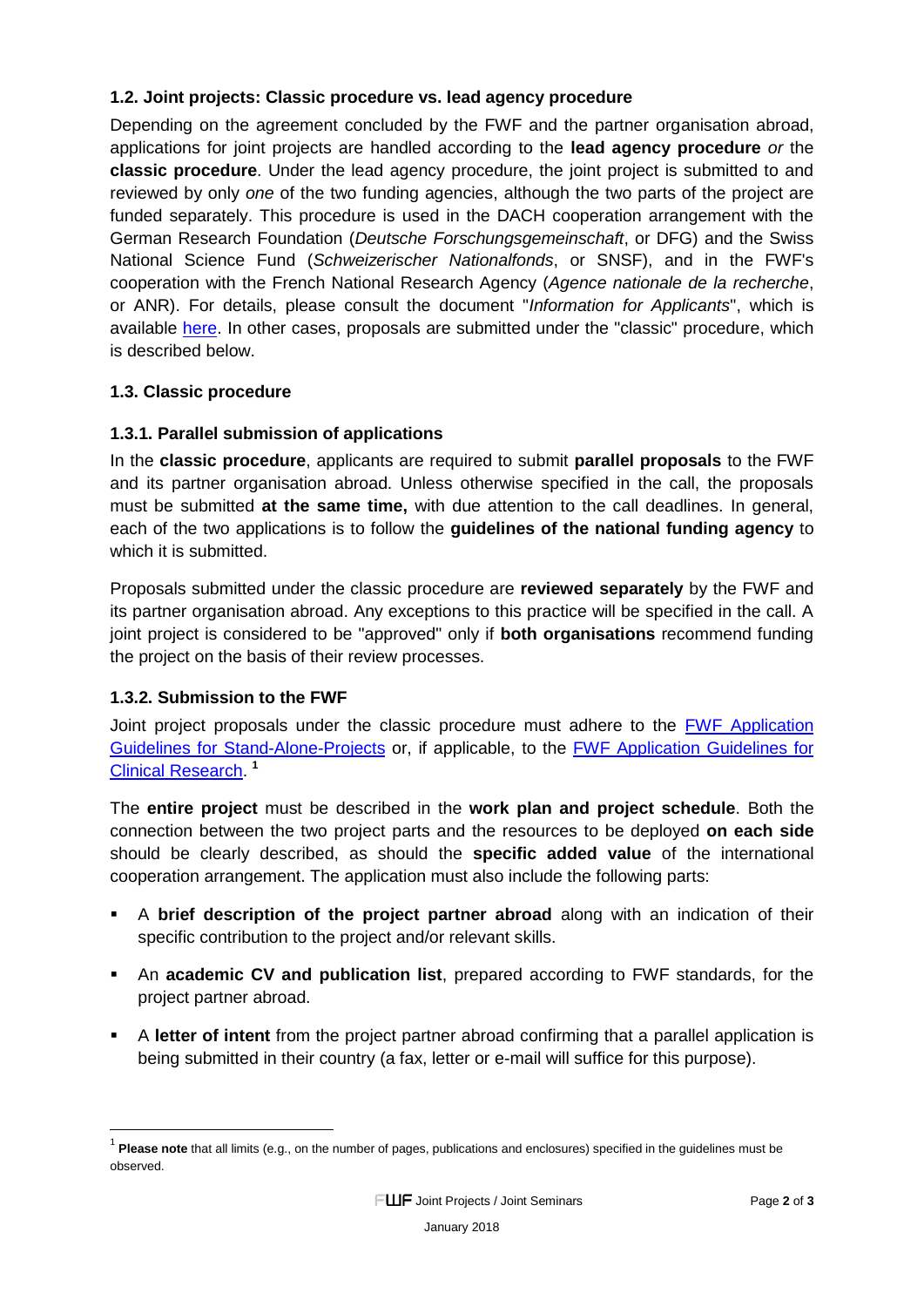## <span id="page-1-0"></span>**1.2. Joint projects: Classic procedure vs. lead agency procedure**

Depending on the agreement concluded by the FWF and the partner organisation abroad, applications for joint projects are handled according to the **lead agency procedure** *or* the **classic procedure**. Under the lead agency procedure, the joint project is submitted to and reviewed by only *one* of the two funding agencies, although the two parts of the project are funded separately. This procedure is used in the DACH cooperation arrangement with the German Research Foundation (*Deutsche Forschungsgemeinschaft*, or DFG) and the Swiss National Science Fund (*Schweizerischer Nationalfonds*, or SNSF), and in the FWF's cooperation with the French National Research Agency (*Agence nationale de la recherche*, or ANR). For details, please consult the document "*Information for Applicants*", which is available [here.](http://www.fwf.ac.at/en/research-funding/fwf-programmes/international-programmes/joint-projects/) In other cases, proposals are submitted under the "classic" procedure, which is described below.

# <span id="page-1-1"></span>**1.3. Classic procedure**

# <span id="page-1-2"></span>**1.3.1. Parallel submission of applications**

In the **classic procedure**, applicants are required to submit **parallel proposals** to the FWF and its partner organisation abroad. Unless otherwise specified in the call, the proposals must be submitted **at the same time,** with due attention to the call deadlines. In general, each of the two applications is to follow the **guidelines of the national funding agency** to which it is submitted.

Proposals submitted under the classic procedure are **reviewed separately** by the FWF and its partner organisation abroad. Any exceptions to this practice will be specified in the call. A joint project is considered to be "approved" only if **both organisations** recommend funding the project on the basis of their review processes.

## <span id="page-1-3"></span>**1.3.2. Submission to the FWF**

 $\overline{\phantom{a}}$ 

Joint project proposals under the classic procedure must adhere to the [FWF Application](http://www.fwf.ac.at/fileadmin/files/Dokumente/Antragstellung/Einzelprojekte/p_antragsrichtlinien.pdf)  [Guidelines for Stand-Alone-Projects](http://www.fwf.ac.at/fileadmin/files/Dokumente/Antragstellung/Einzelprojekte/p_antragsrichtlinien.pdf) or, if applicable, to the [FWF Application Guidelines for](http://www.fwf.ac.at/fileadmin/files/Dokumente/Antragstellung/KLIF/klif_application-guidelines.pdf)  [Clinical Research.](http://www.fwf.ac.at/fileadmin/files/Dokumente/Antragstellung/KLIF/klif_application-guidelines.pdf) **1**

The **entire project** must be described in the **work plan and project schedule**. Both the connection between the two project parts and the resources to be deployed **on each side** should be clearly described, as should the **specific added value** of the international cooperation arrangement. The application must also include the following parts:

- A **brief description of the project partner abroad** along with an indication of their specific contribution to the project and/or relevant skills.
- An **academic CV and publication list**, prepared according to FWF standards, for the project partner abroad.
- A **letter of intent** from the project partner abroad confirming that a parallel application is being submitted in their country (a fax, letter or e-mail will suffice for this purpose).

<sup>&</sup>lt;sup>1</sup> Please note that all limits (e.g., on the number of pages, publications and enclosures) specified in the guidelines must be observed.